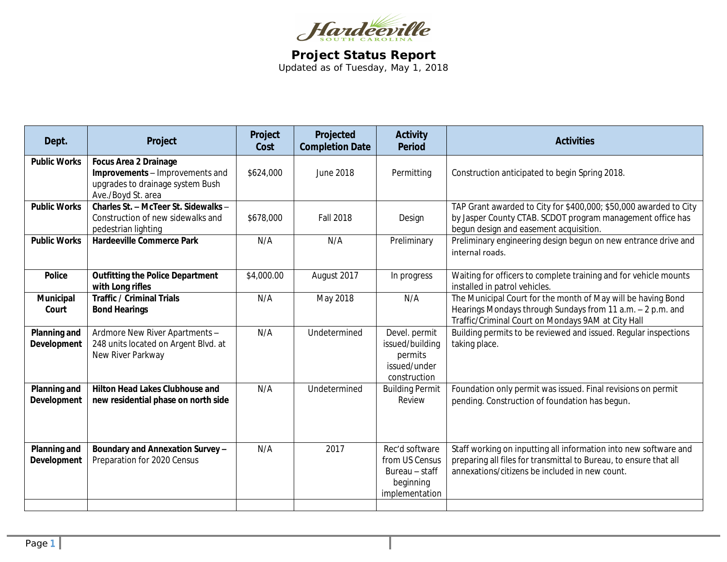

**Project Status Report** Updated as of Tuesday, May 1, 2018

| Dept.                              | Project                                                                                                                   | Project<br>Cost | Projected<br><b>Completion Date</b> | <b>Activity</b><br><b>Period</b>                                                  | <b>Activities</b>                                                                                                                                                                       |
|------------------------------------|---------------------------------------------------------------------------------------------------------------------------|-----------------|-------------------------------------|-----------------------------------------------------------------------------------|-----------------------------------------------------------------------------------------------------------------------------------------------------------------------------------------|
| <b>Public Works</b>                | <b>Focus Area 2 Drainage</b><br>Improvements - Improvements and<br>upgrades to drainage system Bush<br>Ave./Boyd St. area | \$624,000       | June 2018                           | Permitting                                                                        | Construction anticipated to begin Spring 2018.                                                                                                                                          |
| <b>Public Works</b>                | Charles St. - McTeer St. Sidewalks -<br>Construction of new sidewalks and<br>pedestrian lighting                          | \$678,000       | <b>Fall 2018</b>                    | Design                                                                            | TAP Grant awarded to City for \$400,000; \$50,000 awarded to City<br>by Jasper County CTAB. SCDOT program management office has<br>begun design and easement acquisition.               |
| <b>Public Works</b>                | <b>Hardeeville Commerce Park</b>                                                                                          | N/A             | N/A                                 | Preliminary                                                                       | Preliminary engineering design begun on new entrance drive and<br>internal roads.                                                                                                       |
| <b>Police</b>                      | <b>Outfitting the Police Department</b><br>with Long rifles                                                               | \$4,000.00      | August 2017                         | In progress                                                                       | Waiting for officers to complete training and for vehicle mounts<br>installed in patrol vehicles.                                                                                       |
| Municipal<br>Court                 | <b>Traffic / Criminal Trials</b><br><b>Bond Hearings</b>                                                                  | N/A             | May 2018                            | N/A                                                                               | The Municipal Court for the month of May will be having Bond<br>Hearings Mondays through Sundays from 11 a.m. - 2 p.m. and<br>Traffic/Criminal Court on Mondays 9AM at City Hall        |
| <b>Planning and</b><br>Development | Ardmore New River Apartments -<br>248 units located on Argent Blvd. at<br>New River Parkway                               | N/A             | Undetermined                        | Devel. permit<br>issued/building<br>permits<br>issued/under<br>construction       | Building permits to be reviewed and issued. Regular inspections<br>taking place.                                                                                                        |
| Planning and<br><b>Development</b> | <b>Hilton Head Lakes Clubhouse and</b><br>new residential phase on north side                                             | N/A             | Undetermined                        | <b>Building Permit</b><br>Review                                                  | Foundation only permit was issued. Final revisions on permit<br>pending. Construction of foundation has begun.                                                                          |
| Planning and<br><b>Development</b> | Boundary and Annexation Survey-<br>Preparation for 2020 Census                                                            | N/A             | 2017                                | Rec'd software<br>from US Census<br>Bureau - staff<br>beginning<br>implementation | Staff working on inputting all information into new software and<br>preparing all files for transmittal to Bureau, to ensure that all<br>annexations/citizens be included in new count. |